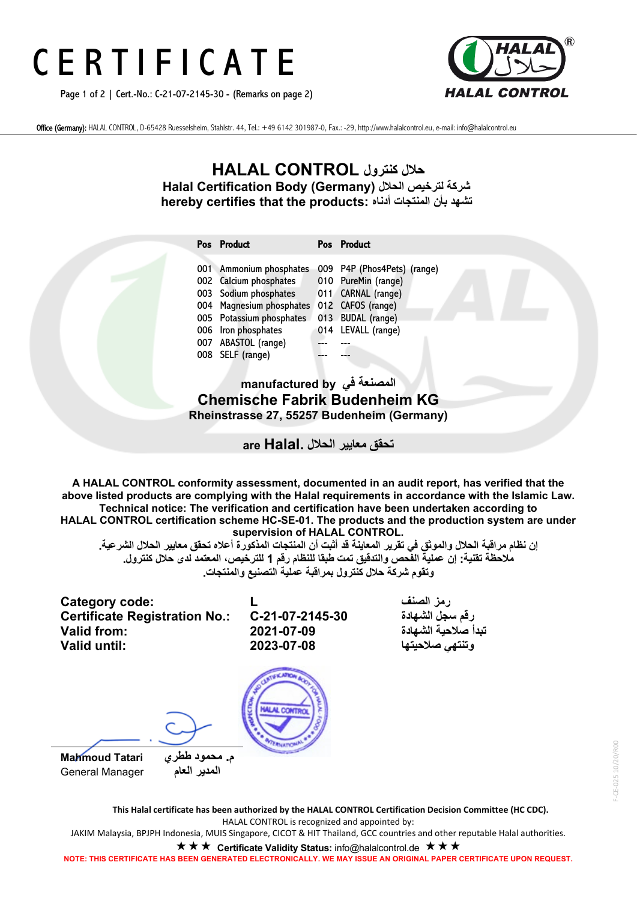# C E R T I F I C A T E

Page 1 of 2 | Cert.-No.: C-21-07-2145-30 - (Remarks on page 2)



Office (Germany): HALAL CONTROL, D-65428 Ruesselsheim, Stahlstr. 44, Tel.: +49 6142 301987-0, Fax.: -29, http://www.halalcontrol.eu, e-mail: info@halalcontrol.eu

# **حلال كنترول CONTROL HALAL Halal Certification Body (Germany) الحلال لترخیص شركة hereby certifies that the products: أدناه المنتجات بأن تشھد**

| Pos Product              | Pos Product                 |
|--------------------------|-----------------------------|
| 001 Ammonium phosphates  | 009 P4P (Phos4Pets) (range) |
| 002 Calcium phosphates   | 010 PureMin (range)         |
| 003 Sodium phosphates    | 011 CARNAL (range)          |
| 004 Magnesium phosphates | 012 CAFOS (range)           |
| 005 Potassium phosphates | 013 BUDAL (range)           |
| 006 Iron phosphates      | 014 LEVALL (range)          |
| 007 ABASTOL (range)      |                             |
| 008 SELF (range)         |                             |

## **المصنعة في by manufactured Chemische Fabrik Budenheim KG Rheinstrasse 27, 55257 Budenheim (Germany)**

**تحقق معاییر الحلال .Halal are**

**A HALAL CONTROL conformity assessment, documented in an audit report, has verified that the above listed products are complying with the Halal requirements in accordance with the Islamic Law. Technical notice: The verification and certification have been undertaken according to HALAL CONTROL certification scheme HC-SE-01. The products and the production system are under supervision of HALAL CONTROL.**

إن نظام مراقبة الحلال والموثق في تقرير المعاينة قد أثبت أن المنتجات المذكورة أعلاه تحقق معايير الحلال الشرعية <u>ـ</u> **ملاحظة تقنیة: إن عملیة الفحص والتدقیق تمت طبقا للنظام رقم 1 للترخیص، المعتمد لدى حلال كنترول . وتقوم شركة حلال كنترول بمراقبة عمل یة التصنیع والمنتجات .**

**Category code: L الصنف رمز Certificate Registration No.: C-21-07-2145-30 الشھادة سجل رقم وتنتھي صلاحیتھا 2023-07-08 :until Valid**



 **م. محمود ططري Tatari Mahmoud المدیر العام** Manager General

**تبدأ صلاحیة الشھادة 2021-07-09 :from Valid**



**This Halal certificate has been authorized by the HALAL CONTROL Certification Decision Committee (HC CDC).** HALAL CONTROL is recognized and appointed by: JAKIM Malaysia, BPJPH Indonesia, MUIS Singapore, CICOT & HIT Thailand, GCC countries and other reputable Halal authorities. **★ ★ ★ Certificate Validity Status:** info@halalcontrol.de **★ ★ ★** 

**NOTE: THIS CERTIFICATE HAS BEEN GENERATED ELECTRONICALLY. WE MAY ISSUE AN ORIGINAL PAPER CERTIFICATE UPON REQUEST.**